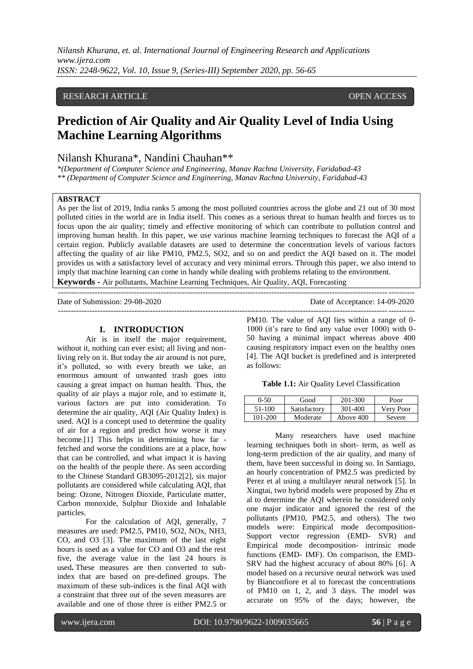## RESEARCH ARTICLE **CONSERVERS** OPEN ACCESS

# **Prediction of Air Quality and Air Quality Level of India Using Machine Learning Algorithms**

# Nilansh Khurana\*, Nandini Chauhan\*\*

*\*(Department of Computer Science and Engineering, Manav Rachna University, Faridabad-43 \*\* (Department of Computer Science and Engineering, Manav Rachna University, Faridabad-43*

## **ABSTRACT**

As per the list of 2019, India ranks 5 among the most polluted countries across the globe and 21 out of 30 most polluted cities in the world are in India itself. This comes as a serious threat to human health and forces us to focus upon the air quality; timely and effective monitoring of which can contribute to pollution control and improving human health. In this paper, we use various machine learning techniques to forecast the AQI of a certain region. Publicly available datasets are used to determine the concentration levels of various factors affecting the quality of air like PM10, PM2.5, SO2, and so on and predict the AQI based on it. The model provides us with a satisfactory level of accuracy and very minimal errors. Through this paper, we also intend to imply that machine learning can come in handy while dealing with problems relating to the environment.

**Keywords -** Air pollutants, Machine Learning Techniques, Air Quality, AQI, Forecasting

Date of Submission: 29-08-2020 Date of Acceptance: 14-09-2020

---------------------------------------------------------------------------------------------------------------------------------------

#### **I. INTRODUCTION**

---------------------------------------------------------------------------------------------------------------------------------------

Air is in itself the major requirement, without it, nothing can ever exist; all living and nonliving rely on it. But today the air around is not pure, it"s polluted, so with every breath we take, an enormous amount of unwanted trash goes into causing a great impact on human health. Thus, the quality of air plays a major role, and to estimate it, various factors are put into consideration. To determine the air quality, AQI (Air Quality Index) is used. AQI is a concept used to determine the quality of air for a region and predict how worse it may become.[1] This helps in determining how far fetched and worse the conditions are at a place, how that can be controlled, and what impact it is having on the health of the people there. As seen according to the Chinese Standard GB3095-2012[2], six major pollutants are considered while calculating AQI, that being: Ozone, Nitrogen Dioxide, Particulate matter, Carbon monoxide, Sulphur Dioxide and Inhalable particles.

For the calculation of AQI, generally, 7 measures are used: PM2.5, PM10, SO2, NOx, NH3, CO, and O3 [3]. The maximum of the last eight hours is used as a value for CO and O3 and the rest five, the average value in the last 24 hours is used**.** These measures are then converted to subindex that are based on pre-defined groups. The maximum of these sub-indices is the final AQI with a constraint that three out of the seven measures are available and one of those three is either PM2.5 or

PM10. The value of AQI lies within a range of 0- 1000 (it's rare to find any value over 1000) with 0-50 having a minimal impact whereas above 400 causing respiratory impact even on the healthy ones [4]. The AQI bucket is predefined and is interpreted as follows:

**Table 1.1:** Air Quality Level Classification

| 0-50    | Good         | 201-300   | Poor      |
|---------|--------------|-----------|-----------|
| 51-100  | Satisfactory | 301-400   | Very Poor |
| 101-200 | Moderate     | Above 400 | Severe    |

Many researchers have used machine learning techniques both in short- term, as well as long-term prediction of the air quality, and many of them, have been successful in doing so. In Santiago, an hourly concentration of PM2.5 was predicted by Perez et al using a multilayer neural network [5]. In Xingtai, two hybrid models were proposed by Zhu et al to determine the AQI wherein he considered only one major indicator and ignored the rest of the pollutants (PM10, PM2.5, and others). The two models were: Empirical mode decomposition-Support vector regression (EMD- SVR) and Empirical mode decomposition- intrinsic mode functions (EMD- IMF). On comparison, the EMD-SRV had the highest accuracy of about 80% [6]. A model based on a recursive neural network was used by Bianconfiore et al to forecast the concentrations of PM10 on 1, 2, and 3 days. The model was accurate on 95% of the days; however, the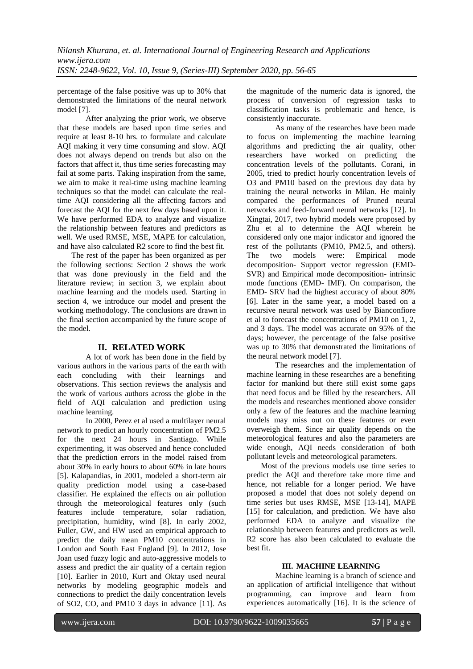percentage of the false positive was up to 30% that demonstrated the limitations of the neural network model [7].

After analyzing the prior work, we observe that these models are based upon time series and require at least 8-10 hrs. to formulate and calculate AQI making it very time consuming and slow. AQI does not always depend on trends but also on the factors that affect it, thus time series forecasting may fail at some parts. Taking inspiration from the same, we aim to make it real-time using machine learning techniques so that the model can calculate the realtime AQI considering all the affecting factors and forecast the AQI for the next few days based upon it. We have performed EDA to analyze and visualize the relationship between features and predictors as well. We used RMSE, MSE, MAPE for calculation, and have also calculated R2 score to find the best fit.

The rest of the paper has been organized as per the following sections: Section 2 shows the work that was done previously in the field and the literature review; in section 3, we explain about machine learning and the models used. Starting in section 4, we introduce our model and present the working methodology. The conclusions are drawn in the final section accompanied by the future scope of the model.

## **II. RELATED WORK**

A lot of work has been done in the field by various authors in the various parts of the earth with each concluding with their learnings and observations. This section reviews the analysis and the work of various authors across the globe in the field of AQI calculation and prediction using machine learning.

In 2000, Perez et al used a multilayer neural network to predict an hourly concentration of PM2.5 for the next 24 hours in Santiago. While experimenting, it was observed and hence concluded that the prediction errors in the model raised from about 30% in early hours to about 60% in late hours [5]. Kalapandias, in 2001, modeled a short-term air quality prediction model using a case-based classifier. He explained the effects on air pollution through the meteorological features only (such features include temperature, solar radiation, precipitation, humidity, wind [8]. In early 2002, Fuller, GW, and HW used an empirical approach to predict the daily mean PM10 concentrations in London and South East England [9]. In 2012, Jose Joan used fuzzy logic and auto-aggressive models to assess and predict the air quality of a certain region [10]. Earlier in 2010, Kurt and Oktay used neural networks by modeling geographic models and connections to predict the daily concentration levels of SO2, CO, and PM10 3 days in advance [11]. As

the magnitude of the numeric data is ignored, the process of conversion of regression tasks to classification tasks is problematic and hence, is consistently inaccurate.

As many of the researches have been made to focus on implementing the machine learning algorithms and predicting the air quality, other researchers have worked on predicting the concentration levels of the pollutants. Corani, in 2005, tried to predict hourly concentration levels of O3 and PM10 based on the previous day data by training the neural networks in Milan. He mainly compared the performances of Pruned neural networks and feed-forward neural networks [12]. In Xingtai, 2017, two hybrid models were proposed by Zhu et al to determine the AQI wherein he considered only one major indicator and ignored the rest of the pollutants (PM10, PM2.5, and others).<br>The two models were: Empirical mode two models were: Empirical mode decomposition- Support vector regression (EMD-SVR) and Empirical mode decomposition- intrinsic mode functions (EMD- IMF). On comparison, the EMD- SRV had the highest accuracy of about 80% [6]. Later in the same year, a model based on a recursive neural network was used by Bianconfiore et al to forecast the concentrations of PM10 on 1, 2, and 3 days. The model was accurate on 95% of the days; however, the percentage of the false positive was up to 30% that demonstrated the limitations of the neural network model [7].

The researches and the implementation of machine learning in these researches are a benefiting factor for mankind but there still exist some gaps that need focus and be filled by the researchers. All the models and researches mentioned above consider only a few of the features and the machine learning models may miss out on these features or even overweigh them. Since air quality depends on the meteorological features and also the parameters are wide enough, AQI needs consideration of both pollutant levels and meteorological parameters.

Most of the previous models use time series to predict the AQI and therefore take more time and hence, not reliable for a longer period. We have proposed a model that does not solely depend on time series but uses RMSE, MSE [13-14], MAPE [15] for calculation, and prediction. We have also performed EDA to analyze and visualize the relationship between features and predictors as well. R2 score has also been calculated to evaluate the best fit.

## **III. MACHINE LEARNING**

Machine learning is a branch of science and an application of artificial intelligence that without programming, can improve and learn from experiences automatically [16]. It is the science of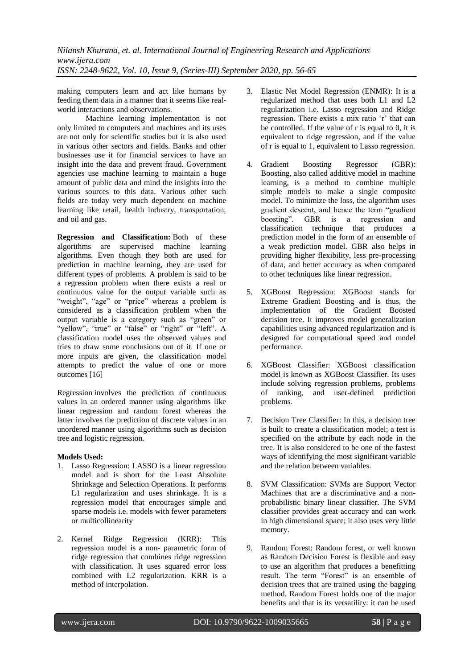making computers learn and act like humans by feeding them data in a manner that it seems like realworld interactions and observations.

Machine learning implementation is not only limited to computers and machines and its uses are not only for scientific studies but it is also used in various other sectors and fields. Banks and other businesses use it for financial services to have an insight into the data and prevent fraud. Government agencies use machine learning to maintain a huge amount of public data and mind the insights into the various sources to this data. Various other such fields are today very much dependent on machine learning like retail, health industry, transportation, and oil and gas.

**Regression and Classification:** Both of these algorithms are supervised machine learning algorithms. Even though they both are used for prediction in machine learning, they are used for different types of problems. A problem is said to be a regression problem when there exists a real or continuous value for the output variable such as "weight", "age" or "price" whereas a problem is considered as a classification problem when the output variable is a category such as "green" or "yellow", "true" or "false" or "right" or "left". A classification model uses the observed values and tries to draw some conclusions out of it. If one or more inputs are given, the classification model attempts to predict the value of one or more outcomes [16]

Regression involves the prediction of continuous values in an ordered manner using algorithms like linear regression and random forest whereas the latter involves the prediction of discrete values in an unordered manner using algorithms such as decision tree and logistic regression.

## **Models Used:**

- 1. Lasso Regression: LASSO is a linear regression model and is short for the Least Absolute Shrinkage and Selection Operations. It performs L1 regularization and uses shrinkage. It is a regression model that encourages simple and sparse models i.e. models with fewer parameters or multicollinearity
- 2. Kernel Ridge Regression (KRR): This regression model is a non- parametric form of ridge regression that combines ridge regression with classification. It uses squared error loss combined with L2 regularization. KRR is a method of interpolation.
- 3. Elastic Net Model Regression (ENMR): It is a regularized method that uses both L1 and L2 regularization i.e. Lasso regression and Ridge regression. There exists a mix ratio "r" that can be controlled. If the value of r is equal to 0, it is equivalent to ridge regression, and if the value of r is equal to 1, equivalent to Lasso regression.
- 4. Gradient Boosting Regressor (GBR): Boosting, also called additive model in machine learning, is a method to combine multiple simple models to make a single composite model. To minimize the loss, the algorithm uses gradient descent, and hence the term "gradient boosting". GBR is a regression and classification technique that produces a prediction model in the form of an ensemble of a weak prediction model. GBR also helps in providing higher flexibility, less pre-processing of data, and better accuracy as when compared to other techniques like linear regression.
- 5. XGBoost Regression: XGBoost stands for Extreme Gradient Boosting and is thus, the implementation of the Gradient Boosted decision tree. It improves model generalization capabilities using advanced regularization and is designed for computational speed and model performance.
- 6. XGBoost Classifier: XGBoost classification model is known as XGBoost Classifier. Its uses include solving regression problems, problems of ranking, and user-defined prediction problems.
- 7. Decision Tree Classifier: In this, a decision tree is built to create a classification model; a test is specified on the attribute by each node in the tree. It is also considered to be one of the fastest ways of identifying the most significant variable and the relation between variables.
- 8. SVM Classification: SVMs are Support Vector Machines that are a discriminative and a nonprobabilistic binary linear classifier. The SVM classifier provides great accuracy and can work in high dimensional space; it also uses very little memory.
- 9. Random Forest: Random forest, or well known as Random Decision Forest is flexible and easy to use an algorithm that produces a benefitting result. The term "Forest" is an ensemble of decision trees that are trained using the bagging method. Random Forest holds one of the major benefits and that is its versatility: it can be used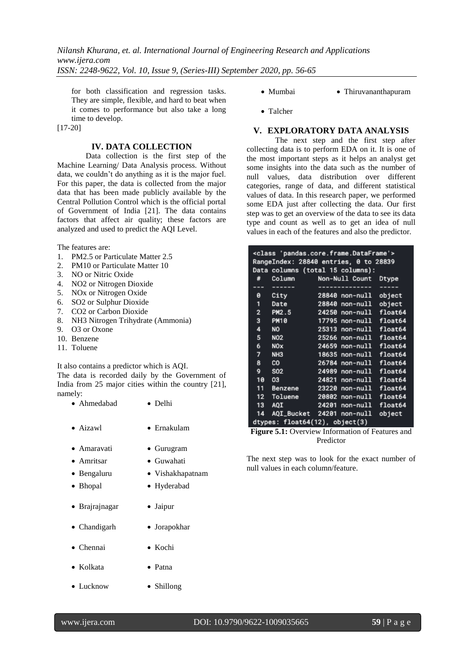for both classification and regression tasks. They are simple, flexible, and hard to beat when it comes to performance but also take a long time to develop.

[17-20]

## **IV. DATA COLLECTION**

Data collection is the first step of the Machine Learning/ Data Analysis process. Without data, we couldn"t do anything as it is the major fuel. For this paper, the data is collected from the major data that has been made publicly available by the Central Pollution Control which is the official portal of Government of India [21]. The data contains factors that affect air quality; these factors are analyzed and used to predict the AQI Level.

The features are:

- 1. PM2.5 or Particulate Matter 2.5
- 2. PM10 or Particulate Matter 10
- 3. NO or Nitric Oxide
- 4. NO2 or Nitrogen Dioxide
- 5. NOx or Nitrogen Oxide
- 6. SO2 or Sulphur Dioxide
- 7. CO2 or Carbon Dioxide
- 8. NH3 Nitrogen Trihydrate (Ammonia)
- 9. O3 or Oxone
- 10. Benzene
- 11. Toluene

It also contains a predictor which is AQI.

The data is recorded daily by the Government of India from 25 major cities within the country [21], namely:

- Ahmedabad Delhi
- Aizawl Ernakulam
- Amaravati Gurugram
- Amritsar Guwahati
- Bengaluru Vishakhapatnam
- Bhopal Hyderabad
- Brajrajnagar Jaipur
- Chandigarh Jorapokhar
- Chennai Kochi
- Kolkata Patna
- Lucknow Shillong
- Mumbai Thiruvananthapuram
- Talcher

## **V. EXPLORATORY DATA ANALYSIS**

The next step and the first step after collecting data is to perform EDA on it. It is one of the most important steps as it helps an analyst get some insights into the data such as the number of null values, data distribution over different categories, range of data, and different statistical values of data. In this research paper, we performed some EDA just after collecting the data. Our first step was to get an overview of the data to see its data type and count as well as to get an idea of null values in each of the features and also the predictor.

|                |                                  | <class 'pandas.core.frame.dataframe'=""><br/>RangeIndex: 28840 entries, 0 to 28839<br/>Data columns (total 15 columns):</class> |         |
|----------------|----------------------------------|---------------------------------------------------------------------------------------------------------------------------------|---------|
| #              | Column<br><b>Service Service</b> | Non-Null Count                                                                                                                  | Dtype   |
| ---            |                                  |                                                                                                                                 |         |
| ø              | City                             | 28840<br>non-null                                                                                                               | object  |
| 1              | Date                             | 28840<br>non-null                                                                                                               | object  |
| $\overline{2}$ | PM2.5                            | 24250<br>non-null                                                                                                               | float64 |
| 3              | <b>PM10</b>                      | 17795 non-null                                                                                                                  | float64 |
| 4              | <b>NO</b>                        | 25313<br>non-null                                                                                                               | float64 |
| 5              | NO <sub>2</sub>                  | 25266 non-null                                                                                                                  | float64 |
| 6              | <b>NOx</b>                       | 24659<br>non-null                                                                                                               | float64 |
| 7              | NH <sub>3</sub>                  | 18635 non-null                                                                                                                  | float64 |
| 8              | CO.                              | 26784<br>non-null                                                                                                               | float64 |
| 9              | S <sub>02</sub>                  | 24989<br>non-null                                                                                                               | float64 |
| 10             | 03                               | 24821<br>non-null                                                                                                               | float64 |
| 11             | Benzene                          | 23220<br>non-null                                                                                                               | float64 |
| 12             | Toluene                          | 20802<br>non-null                                                                                                               | float64 |
| 13             | AQI                              | 24201<br>non-null                                                                                                               | float64 |
| 14             | AQI_Bucket 24201                 | non-null                                                                                                                        | object  |
|                |                                  | dtypes: float64(12), object(3)                                                                                                  |         |

**Figure 5.1:** Overview Information of Features and Predictor

The next step was to look for the exact number of null values in each column/feature.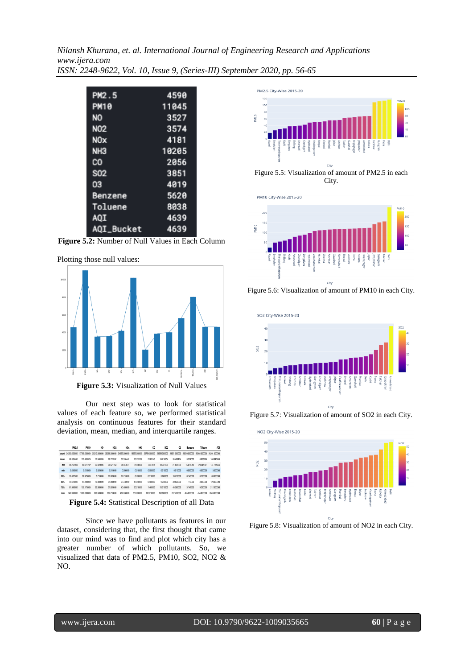| PM2.5           | 4590  |
|-----------------|-------|
| <b>PM10</b>     | 11045 |
| NO              | 3527  |
| N <sub>02</sub> | 3574  |
| <b>NOx</b>      | 4181  |
| NH3             | 10205 |
| co              | 2056  |
| S <sub>02</sub> | 3851  |
| 03              | 4019  |
| Benzene         | 5620  |
| Toluene         | 8038  |
| AQI             | 4639  |
| AQI_Bucket      | 4639  |

**Figure 5.2:** Number of Null Values in Each Column

Plotting those null values:



Our next step was to look for statistical values of each feature so, we performed statistical analysis on continuous features for their standard deviation, mean, median, and interquartile ranges.

|      | PM2.5                                                                                                                                                          | PM10       | NO         | NO <sub>2</sub> | NO <sub>I</sub> | NH3        | $\infty$   | <b>SO2</b> | œ          | Benzene    | Toluene    | ADI         |
|------|----------------------------------------------------------------------------------------------------------------------------------------------------------------|------------|------------|-----------------|-----------------|------------|------------|------------|------------|------------|------------|-------------|
|      | count 24250,000000 17795,000000 25313,00000 25266,00000 24659,000000 18635,000000 24784,000000 24899,000000 24821,000000 23220,000000 29802,000000 24201,00000 |            |            |                 |                 |            |            |            |            |            |            |             |
| mean | 68,508440                                                                                                                                                      | 120,465929 | 17,848399  | 28.722892       | 32.538442       | 23.733286  | 2,285140   | 14.716054  | 34,498114  | 3.324055   | 8.903265   | 168.846453  |
| std  | 65,207394                                                                                                                                                      | 90.977792  | 22,970994  | 24,621160       | 31,947611       | 25,948930  | 7.047618   | 18.341909  | 21.829299  | 16.013089  | 20,245367  | 141.737744  |
| min  | 0.040000                                                                                                                                                       | 0.010000   | 0.020000   | 0.010000        | 0.000000        | 0.010000   | 0.000000   | 0.010000   | 0.010000   | 0.000000   | 0.000000   | 13,000000   |
| 25%  | 29.472500                                                                                                                                                      | 58.925000  | 5.710000   | 11,820000       | 12.710000       | 8.700000   | 0.510000   | 5,660000   | 18,770000  | 0.140000   | 0.700000   | 83,000000   |
| 50%  | 49,620000                                                                                                                                                      | 97,880000  | 10,080000  | 21,880000       | 23.730000       | 16.040000  | 0.900000   | 9,240000   | 30,830000  | 1.110000   | 3,090000   | 120,000000  |
| 75%  | 81,940000                                                                                                                                                      | 152.175000 | 20.380000  | 37,820000       | 40,480000       | 30,210000  | 1,460000   | 15,510000  | 45,580000  | 3.142500   | 9,330000   | 212,00000   |
| may  | geg connon                                                                                                                                                     | 1000 00000 | 390 680000 | 362.210000      | 467 650000      | 352,990000 | 175,910000 | 193,980000 | 957.730000 | 455.030000 | 454 R50000 | 2049 000000 |

**Figure 5.4:** Statistical Description of all Data

Since we have pollutants as features in our dataset, considering that, the first thought that came into our mind was to find and plot which city has a greater number of which pollutants. So, we visualized that data of PM2.5, PM10, SO2, NO2 & NO.



Figure 5.5: Visualization of amount of PM2.5 in each City.

PM10 City-Wise 2015-20



Figure 5.6: Visualization of amount of PM10 in each City.



Figure 5.7: Visualization of amount of SO2 in each City.



Figure 5.8: Visualization of amount of NO2 in each City.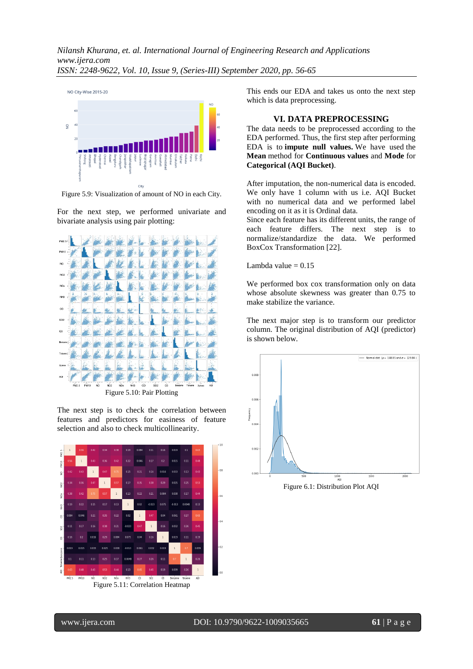

Figure 5.9: Visualization of amount of NO in each City.

For the next step, we performed univariate and bivariate analysis using pair plotting:



Figure 5.10: Pair Plotting

The next step is to check the correlation between features and predictors for easiness of feature selection and also to check multicollinearity.



Figure 5.11: Correlation Heatmap

This ends our EDA and takes us onto the next step which is data preprocessing.

## **VI. DATA PREPROCESSING**

The data needs to be preprocessed according to the EDA performed. Thus, the first step after performing EDA is to **impute null values.** We have used the **Mean** method for **Continuous values** and **Mode** for **Categorical (AQI Bucket)**.

After imputation, the non-numerical data is encoded. We only have 1 column with us i.e. AQI Bucket with no numerical data and we performed label encoding on it as it is Ordinal data.

Since each feature has its different units, the range of each feature differs. The next step is to normalize/standardize the data. We performed BoxCox Transformation [22].

Lambda value  $= 0.15$ 

We performed box cox transformation only on data whose absolute skewness was greater than 0.75 to make stabilize the variance.

The next major step is to transform our predictor column. The original distribution of AQI (predictor) is shown below.



Figure 6.1: Distribution Plot AQI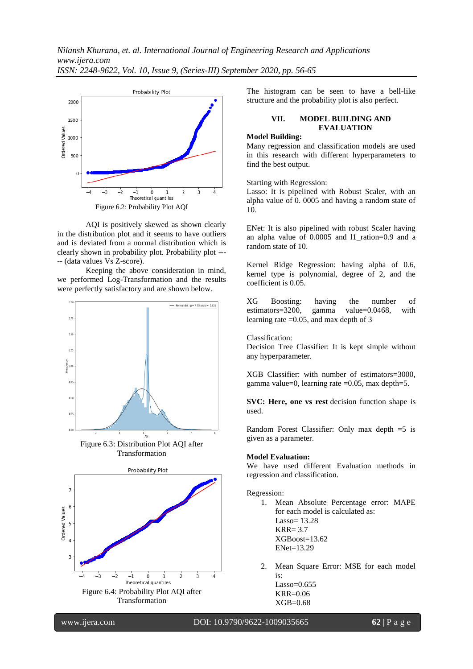

AQI is positively skewed as shown clearly in the distribution plot and it seems to have outliers and is deviated from a normal distribution which is clearly shown in probability plot. Probability plot --- -- (data values Vs Z-score).

Keeping the above consideration in mind, we performed Log-Transformation and the results were perfectly satisfactory and are shown below.



Figure 6.3: Distribution Plot AQI after Transformation



The histogram can be seen to have a bell-like structure and the probability plot is also perfect.

## **VII. MODEL BUILDING AND EVALUATION**

## **Model Building:**

Many regression and classification models are used in this research with different hyperparameters to find the best output.

Starting with Regression:

Lasso: It is pipelined with Robust Scaler, with an alpha value of 0. 0005 and having a random state of 10.

ENet: It is also pipelined with robust Scaler having an alpha value of 0.0005 and l1\_ration=0.9 and a random state of 10.

Kernel Ridge Regression: having alpha of 0.6, kernel type is polynomial, degree of 2, and the coefficient is 0.05.

 $XG$  Boosting: having the number of estimators=3200. gamma value=0.0468. with estimators=3200, gamma value=0.0468, with learning rate =0.05, and max depth of 3

Classification:

Decision Tree Classifier: It is kept simple without any hyperparameter.

XGB Classifier: with number of estimators=3000, gamma value=0, learning rate =0.05, max depth=5.

**SVC: Here, one vs rest** decision function shape is used.

Random Forest Classifier: Only max depth =5 is given as a parameter.

#### **Model Evaluation:**

We have used different Evaluation methods in regression and classification.

#### Regression:

- 1. Mean Absolute Percentage error: MAPE for each model is calculated as: Lasso= 13.28 KRR= 3.7 XGBoost=13.62 ENet=13.29
- 2. Mean Square Error: MSE for each model is: Lasso=0.655 KRR=0.06

XGB=0.68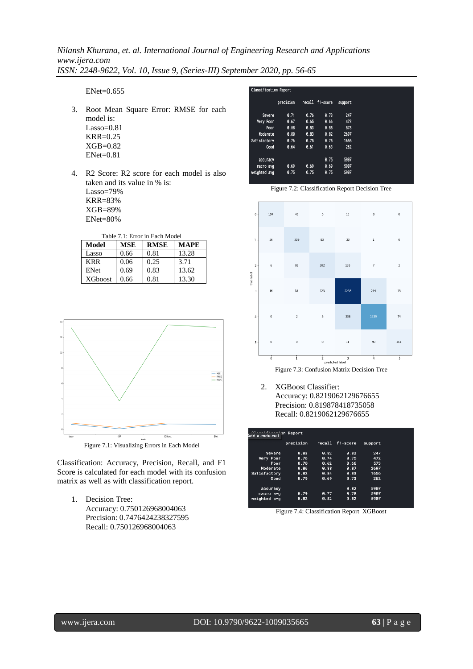ENet=0.655

- 3. Root Mean Square Error: RMSE for each model is: Lasso=0.81 KRR=0.25 XGB=0.82 ENet=0.81
- 4. R2 Score: R2 score for each model is also taken and its value in % is: Lasso=79% KRR=83% XGB=89% ENet=80%

Table 7.1: Error in Each Model

| Model          | <b>MSE</b> | <b>RMSE</b> | MAPE  |
|----------------|------------|-------------|-------|
| Lasso          | 0.66       | 0.81        | 13.28 |
| <b>KRR</b>     | 0.06       | 0.25        | 3.71  |
| ENet           | 0.69       | 0.83        | 13.62 |
| <b>XGboost</b> | 0.66       | 0.81        | 13.30 |



Classification: Accuracy, Precision, Recall, and F1 Score is calculated for each model with its confusion matrix as well as with classification report.

1. Decision Tree: Accuracy: 0.750126968004063 Precision: 0.7476424238327595 Recall: 0.750126968004063

|              | Classification Report |      |                 |         |  |  |  |  |  |
|--------------|-----------------------|------|-----------------|---------|--|--|--|--|--|
|              | precision             |      | recall f1-score | support |  |  |  |  |  |
| Severe       | 0.71                  | 0.76 | 0.73            | 247     |  |  |  |  |  |
| Very Poor    | 0.67                  | 0.65 | 0.66            | 472     |  |  |  |  |  |
| Poor         | 0.58                  | 0.53 | 0.55            | 573     |  |  |  |  |  |
| Moderate     | 0.80                  | 0.83 | 0.82            | 2697    |  |  |  |  |  |
| Satisfactory | 0.76                  | 0.75 | 0.75            | 1656    |  |  |  |  |  |
| Good         | 0.64                  | 0.61 | 0.63            | 262     |  |  |  |  |  |
| accuracy     |                       |      | 0.75            | 5907    |  |  |  |  |  |
| macro avg    | 0.69                  | 0.69 | 0.69            | 5907    |  |  |  |  |  |
| weighted avg | 0.75                  | 0.75 | 0.75            | 5907    |  |  |  |  |  |



Figure 7.3: Confusion Matrix Decision Tree

2. XGBoost Classifier: Accuracy: 0.8219062129676655 Precision: 0.819878418735058 Recall: 0.8219062129676655

|              | precision | recall | f1-score | support |
|--------------|-----------|--------|----------|---------|
| Severe       | 0.83      | 0.82   | 0.82     | 247     |
| Very Poor    | 0.76      | 0.74   | 0.75     | 472     |
| Poor         | A.70      | 0.62   | 8.66     | 573     |
| Moderate     | 8.86      | 8.88   | 8.87     | 2697    |
| Satisfactory | 0.82      | 0.84   | 0.83     | 1656    |
| Good         | 0.79      | 0.69   | 0.73     | 262     |
| accuracy     |           |        | 0.82     | 5907    |
| macro avg    | 0.79      | 0.77   | 0.78     | 5907    |
| weighted avg | 0.82      | 0.82   | 0.82     | 5907    |

Figure 7.4: Classification Report XGBoost

Figure 7.2: Classification Report Decision Tree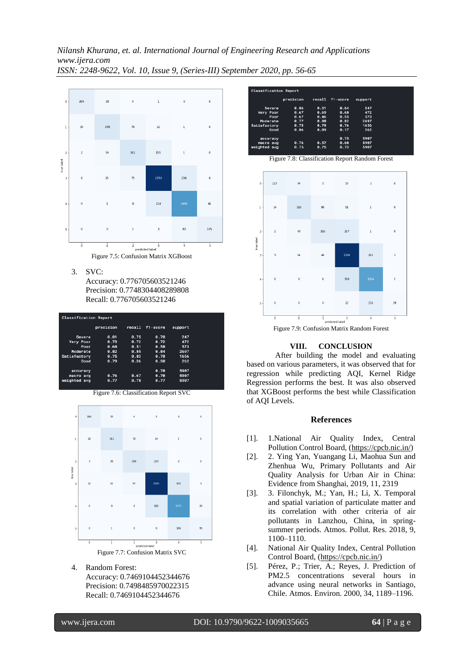

Figure 7.5: Confusion Matrix XGBoost

3. SVC:

Accuracy: 0.776705603521246 Precision: 0.7748304408289808 Recall: 0.776705603521246

| <b>Classification Report</b> |           |        |             |         |  |  |
|------------------------------|-----------|--------|-------------|---------|--|--|
|                              | precision | recall | f1-score    | support |  |  |
| Severe                       | 0.81      | 8.75   | <b>A.78</b> | 247     |  |  |
| Very Poor                    | 0.73      | 0.72   | 0.72        | 472     |  |  |
| Poor                         | 0.68      | 0.51   | 0.58        | 573     |  |  |
| Moderate                     | 0.82      | 0.85   | 0.84        | 2697    |  |  |
| Satisfactory                 | 8.75      | 0.83   | 0.78        | 1656    |  |  |
| Good                         | 0.79      | 0.36   | 0.50        | 262     |  |  |
|                              |           |        |             |         |  |  |
| accuracy                     |           |        | <b>8.78</b> | 5987    |  |  |
| macro avg                    | 0.76      | 0.67   | A.7B        | 5907    |  |  |
| weighted avg                 | 0.77      | 0.78   | 0.77        | 5907    |  |  |
|                              |           |        |             |         |  |  |

Figure 7.6: Classification Report SVC



4. Random Forest:

Accuracy: 0.7469104452344676 Precision: 0.7498485970022315 Recall: 0.7469104452344676





Figure 7.9: Confusion Matrix Random Forest

#### **VIII. CONCLUSION**

After building the model and evaluating based on various parameters, it was observed that for regression while predicting AQI, Kernel Ridge Regression performs the best. It was also observed that XGBoost performs the best while Classification of AQI Levels.

#### **References**

- [1]. 1.National Air Quality Index, Central Pollution Control Board, [\(https://cpcb.nic.in/\)](https://cpcb.nic.in/)
- [2]. 2. Ying Yan, Yuangang Li, Maohua Sun and Zhenhua Wu, Primary Pollutants and Air Quality Analysis for Urban Air in China: Evidence from Shanghai, 2019, 11, 2319
- [3]. 3. Filonchyk, M.; Yan, H.; Li, X. Temporal and spatial variation of particulate matter and its correlation with other criteria of air pollutants in Lanzhou, China, in springsummer periods. Atmos. Pollut. Res. 2018, 9, 1100–1110.
- [4]. National Air Quality Index, Central Pollution Control Board, [\(https://cpcb.nic.in/\)](https://cpcb.nic.in/)
- [5]. Pérez, P.; Trier, A.; Reyes, J. Prediction of PM2.5 concentrations several hours in advance using neural networks in Santiago, Chile. Atmos. Environ. 2000, 34, 1189–1196.